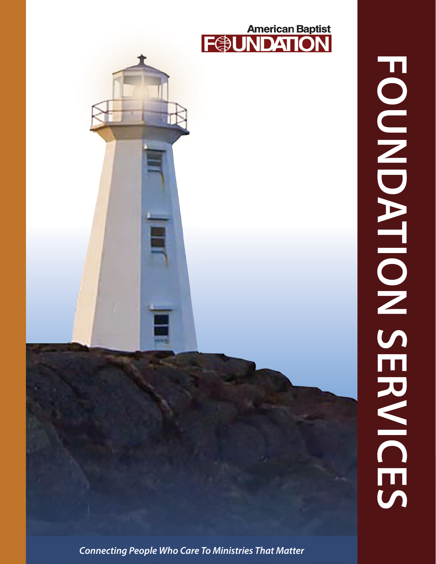

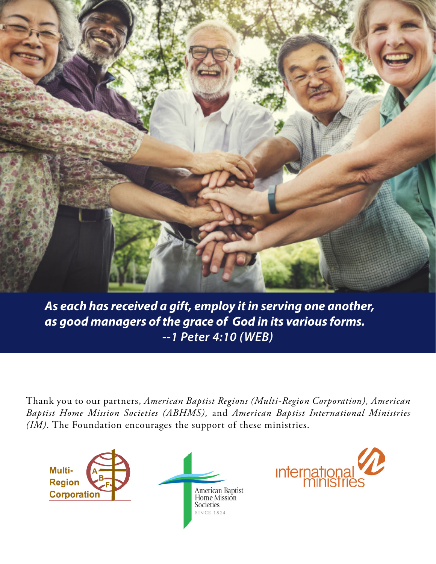

*As each has received a gift, employ it in serving one another, as good managers of the grace of God in its various forms. --1 Peter 4:10 (WEB)*

Thank you to our partners, *American Baptist Regions (Multi-Region Corporation), American Baptist Home Mission Societies (ABHMS),* and *American Baptist International Ministries (IM)*. The Foundation encourages the support of these ministries.



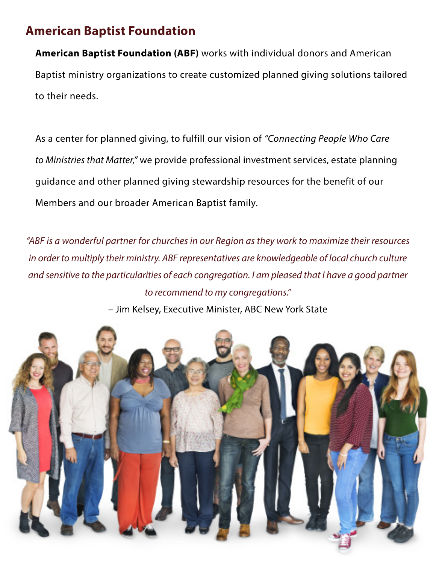## **American Baptist Foundation**

**American Baptist Foundation (ABF)** works with individual donors and American Baptist ministry organizations to create customized planned giving solutions tailored to their needs.

As a center for planned giving, to fulfill our vision of *"Connecting People Who Care to Ministries that Matter,"* we provide professional investment services, estate planning guidance and other planned giving stewardship resources for the benefit of our Members and our broader American Baptist family.

*"ABF is a wonderful partner for churches in our Region as they work to maximize their resources in order to multiply their ministry. ABF representatives are knowledgeable of local church culture and sensitive to the particularities of each congregation. I am pleased that I have a good partner to recommend to my congregations."* 

– Jim Kelsey, Executive Minister, ABC New York State

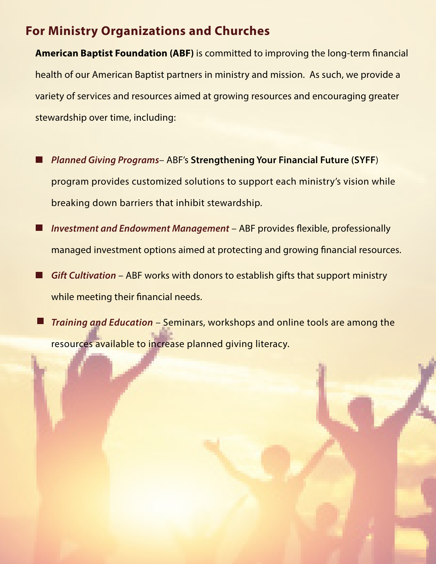# **For Ministry Organizations and Churches**

**American Baptist Foundation (ABF)** is committed to improving the long-term financial health of our American Baptist partners in ministry and mission. As such, we provide a variety of services and resources aimed at growing resources and encouraging greater stewardship over time, including:

- *Planned Giving Programs* ABF's **Strengthening Your Financial Future (SYFF**) l I program provides customized solutions to support each ministry's vision while breaking down barriers that inhibit stewardship.
- *Investment and Endowment Management* ABF provides flexible, professionally  $\Box$ managed investment options aimed at protecting and growing financial resources.
- *Gift Cultivation* ABF works with donors to establish gifts that support ministry П while meeting their financial needs.
- *Training and Education* Seminars, workshops and online tools are among the  $\sqcup$ resources available to increase planned giving literacy.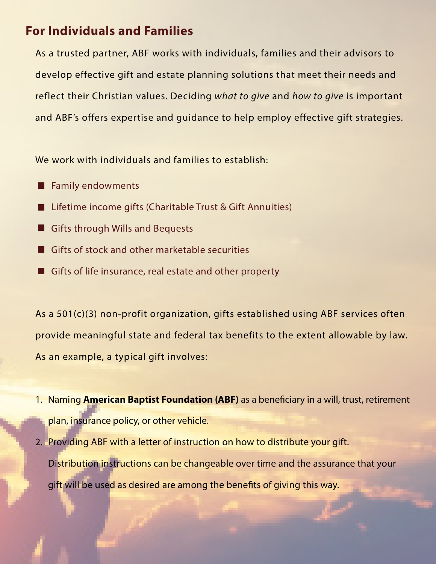# **For Individuals and Families**

As a trusted partner, ABF works with individuals, families and their advisors to develop effective gift and estate planning solutions that meet their needs and reflect their Christian values. Deciding *what to give* and *how to give* is important and ABF's offers expertise and guidance to help employ effective gift strategies.

We work with individuals and families to establish:

- Family endowments . .
- Lifetime income gifts (Charitable Trust & Gift Annuities) H
- Gifts through Wills and Bequests H
- Gifts of stock and other marketable securities
- Gifts of life insurance, real estate and other property

As a 501(c)(3) non-profit organization, gifts established using ABF services often provide meaningful state and federal tax benefits to the extent allowable by law. As an example, a typical gift involves:

- 1. Naming **American Baptist Foundation (ABF)** as a beneficiary in a will, trust, retirement plan, insurance policy, or other vehicle.
- 2. Providing ABF with a letter of instruction on how to distribute your gift. Distribution instructions can be changeable over time and the assurance that your gift will be used as desired are among the benefits of giving this way.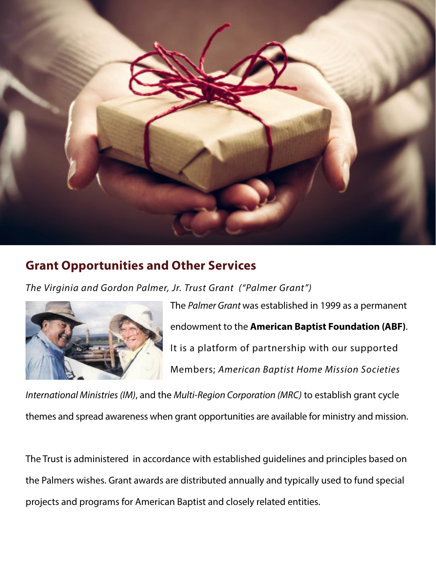

# **Grant Opportunities and Other Services**

*The Virginia and Gordon Palmer, Jr. Trust Grant ("Palmer Grant")* 



The *Palmer Grant* was established in 1999 as a permanent endowment to the **American Baptist Foundation (ABF)**. It is a platform of partnership with our supported Members; *American Baptist Home Mission Societies* 

*International Ministries (IM)*, and the *Multi-Region Corporation (MRC)* to establish grant cycle themes and spread awareness when grant opportunities are available for ministry and mission.

The Trust is administered in accordance with established guidelines and principles based on the Palmers wishes. Grant awards are distributed annually and typically used to fund special projects and programs for American Baptist and closely related entities.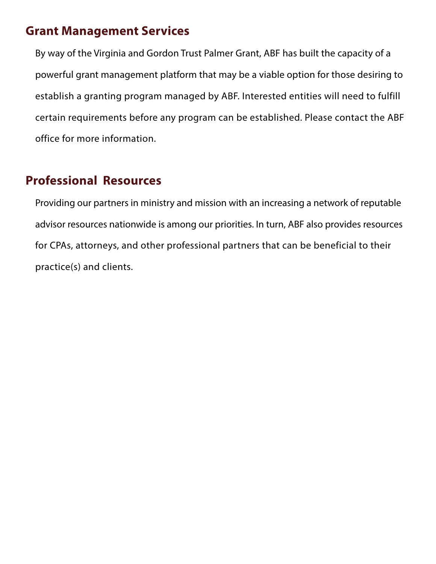#### **Grant Management Services**

By way of the Virginia and Gordon Trust Palmer Grant, ABF has built the capacity of a powerful grant management platform that may be a viable option for those desiring to establish a granting program managed by ABF. Interested entities will need to fulfill certain requirements before any program can be established. Please contact the ABF office for more information.

### **Professional Resources**

Providing our partners in ministry and mission with an increasing a network of reputable advisor resources nationwide is among our priorities. In turn, ABF also provides resources for CPAs, attorneys, and other professional partners that can be beneficial to their practice(s) and clients.